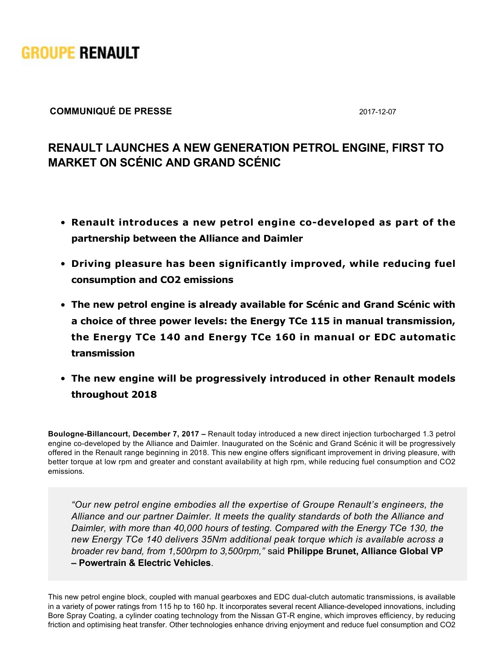

## **COMMUNIQUÉ DE PRESSE** 20171207

## **RENAULT LAUNCHES A NEW GENERATION PETROL ENGINE, FIRST TO MARKET ON SCÉNIC AND GRAND SCÉNIC**

- **Renault introduces a new petrol engine co-developed as part of the partnership between the Alliance and Daimler**
- **Driving pleasure has been significantly improved, while reducing fuel consumption and CO2 emissions**
- **The new petrol engine is already available for Scénic and Grand Scénic with a choice of three power levels: the Energy TCe 115 in manual transmission, the Energy TCe 140 and Energy TCe 160 in manual or EDC automatic transmission**
- **The new engine will be progressively introduced in other Renault models throughout 2018**

**Boulogne-Billancourt, December 7, 2017 –** Renault today introduced a new direct injection turbocharged 1.3 petrol engine co-developed by the Alliance and Daimler. Inaugurated on the Scénic and Grand Scénic it will be progressively offered in the Renault range beginning in 2018. This new engine offers significant improvement in driving pleasure, with better torque at low rpm and greater and constant availability at high rpm, while reducing fuel consumption and CO2 emissions.

*"Our new petrol engine embodies all the expertise of Groupe Renault's engineers, the Alliance and our partner Daimler. It meets the quality standards of both the Alliance and Daimler, with more than 40,000 hours of testing. Compared with the Energy TCe 130, the new Energy TCe 140 delivers 35Nm additional peak torque which is available across a broader rev band, from 1,500rpm to 3,500rpm,"* said **Philippe Brunet, Alliance Global VP – Powertrain & Electric Vehicles**.

This new petrol engine block, coupled with manual gearboxes and EDC dual-clutch automatic transmissions, is available in a variety of power ratings from 115 hp to 160 hp. It incorporates several recent Alliance-developed innovations, including Bore Spray Coating, a cylinder coating technology from the Nissan GT-R engine, which improves efficiency, by reducing friction and optimising heat transfer. Other technologies enhance driving enjoyment and reduce fuel consumption and CO2